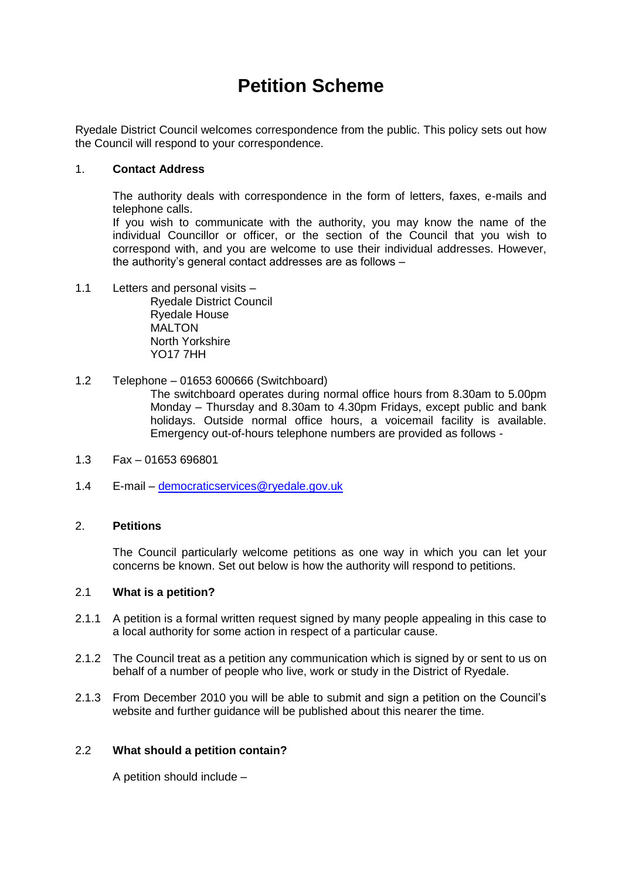# **Petition Scheme**

Ryedale District Council welcomes correspondence from the public. This policy sets out how the Council will respond to your correspondence.

# 1. **Contact Address**

The authority deals with correspondence in the form of letters, faxes, e-mails and telephone calls.

If you wish to communicate with the authority, you may know the name of the individual Councillor or officer, or the section of the Council that you wish to correspond with, and you are welcome to use their individual addresses. However, the authority's general contact addresses are as follows –

1.1 Letters and personal visits –

Ryedale District Council Ryedale House MAI TON North Yorkshire YO17 7HH

# 1.2 Telephone – 01653 600666 (Switchboard)

The switchboard operates during normal office hours from 8.30am to 5.00pm Monday – Thursday and 8.30am to 4.30pm Fridays, except public and bank holidays. Outside normal office hours, a voicemail facility is available. Emergency out-of-hours telephone numbers are provided as follows -

- 1.3 Fax 01653 696801
- 1.4 E-mail [democraticservices@ryedale.gov.uk](mailto:democraticservices@ryedale.gov.uk)

# 2. **Petitions**

The Council particularly welcome petitions as one way in which you can let your concerns be known. Set out below is how the authority will respond to petitions.

# 2.1 **What is a petition?**

- 2.1.1 A petition is a formal written request signed by many people appealing in this case to a local authority for some action in respect of a particular cause.
- 2.1.2 The Council treat as a petition any communication which is signed by or sent to us on behalf of a number of people who live, work or study in the District of Ryedale.
- 2.1.3 From December 2010 you will be able to submit and sign a petition on the Council's website and further guidance will be published about this nearer the time.

# 2.2 **What should a petition contain?**

A petition should include –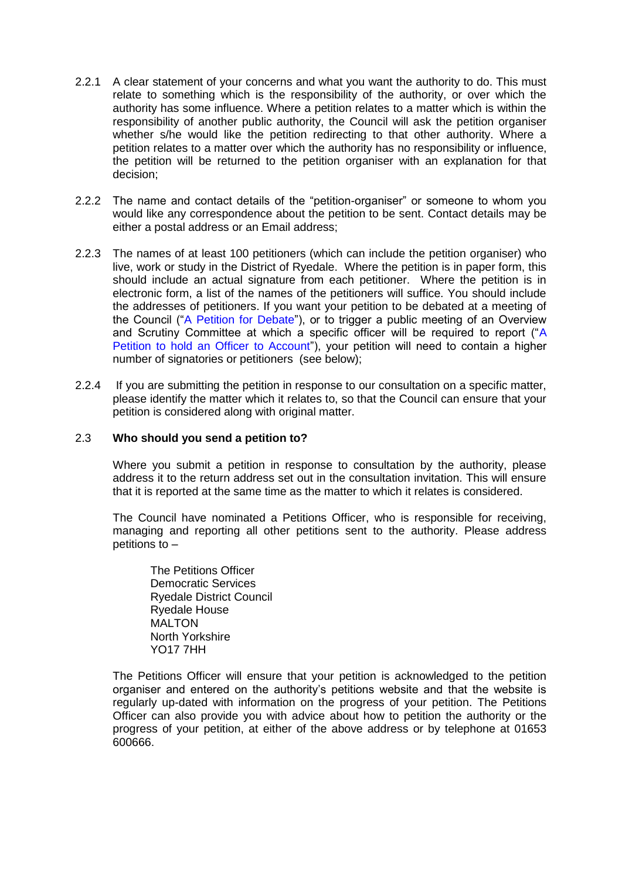- 2.2.1 A clear statement of your concerns and what you want the authority to do. This must relate to something which is the responsibility of the authority, or over which the authority has some influence. Where a petition relates to a matter which is within the responsibility of another public authority, the Council will ask the petition organiser whether s/he would like the petition redirecting to that other authority. Where a petition relates to a matter over which the authority has no responsibility or influence, the petition will be returned to the petition organiser with an explanation for that decision;
- 2.2.2 The name and contact details of the "petition-organiser" or someone to whom you would like any correspondence about the petition to be sent. Contact details may be either a postal address or an Email address;
- 2.2.3 The names of at least 100 petitioners (which can include the petition organiser) who live, work or study in the District of Ryedale. Where the petition is in paper form, this should include an actual signature from each petitioner. Where the petition is in electronic form, a list of the names of the petitioners will suffice. You should include the addresses of petitioners. If you want your petition to be debated at a meeting of the Council ("A Petition for Debate"), or to trigger a public meeting of an Overview and Scrutiny Committee at which a specific officer will be required to report ("A Petition to hold an Officer to Account"), your petition will need to contain a higher number of signatories or petitioners (see below);
- 2.2.4 If you are submitting the petition in response to our consultation on a specific matter, please identify the matter which it relates to, so that the Council can ensure that your petition is considered along with original matter.

## 2.3 **Who should you send a petition to?**

Where you submit a petition in response to consultation by the authority, please address it to the return address set out in the consultation invitation. This will ensure that it is reported at the same time as the matter to which it relates is considered.

The Council have nominated a Petitions Officer, who is responsible for receiving, managing and reporting all other petitions sent to the authority. Please address petitions to –

The Petitions Officer Democratic Services Ryedale District Council Ryedale House **MALTON** North Yorkshire YO17 7HH

The Petitions Officer will ensure that your petition is acknowledged to the petition organiser and entered on the authority's petitions website and that the website is regularly up-dated with information on the progress of your petition. The Petitions Officer can also provide you with advice about how to petition the authority or the progress of your petition, at either of the above address or by telephone at 01653 600666.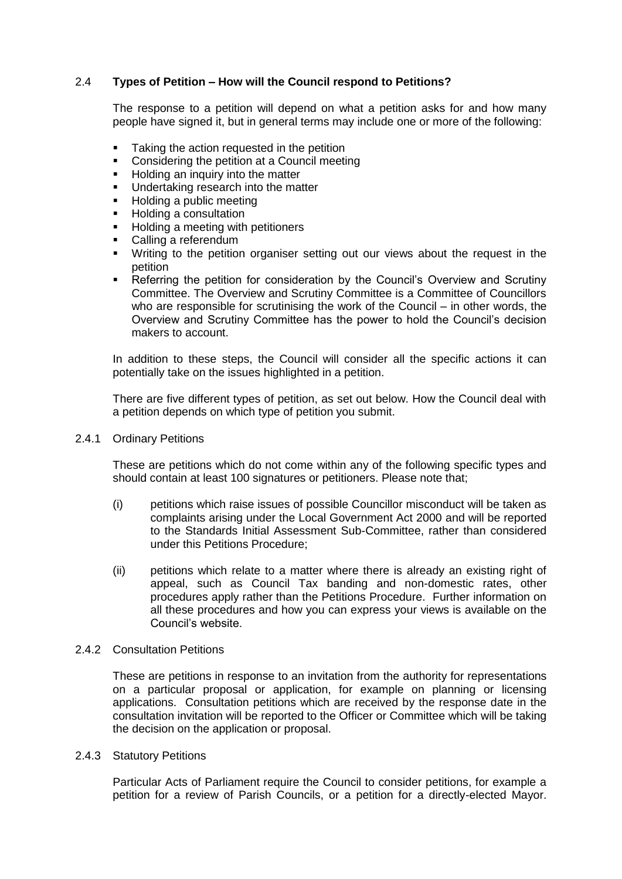# 2.4 **Types of Petition – How will the Council respond to Petitions?**

The response to a petition will depend on what a petition asks for and how many people have signed it, but in general terms may include one or more of the following:

- Taking the action requested in the petition
- **•** Considering the petition at a Council meeting
- Holding an inquiry into the matter
- **Undertaking research into the matter**<br>**EXECTE Holding a public meeting**
- Holding a public meeting
- **Holding a consultation**
- **Holding a meeting with petitioners**
- Calling a referendum
- Writing to the petition organiser setting out our views about the request in the petition
- **EXECTE FIELD FIELD FIELD** FREFERRIAN **Referring the petition for consideration by the Council's Overview and Scrutiny** Committee. The Overview and Scrutiny Committee is a Committee of Councillors who are responsible for scrutinising the work of the Council – in other words, the Overview and Scrutiny Committee has the power to hold the Council's decision makers to account.

In addition to these steps, the Council will consider all the specific actions it can potentially take on the issues highlighted in a petition.

There are five different types of petition, as set out below. How the Council deal with a petition depends on which type of petition you submit.

2.4.1 Ordinary Petitions

These are petitions which do not come within any of the following specific types and should contain at least 100 signatures or petitioners. Please note that;

- (i) petitions which raise issues of possible Councillor misconduct will be taken as complaints arising under the Local Government Act 2000 and will be reported to the Standards Initial Assessment Sub-Committee, rather than considered under this Petitions Procedure;
- (ii) petitions which relate to a matter where there is already an existing right of appeal, such as Council Tax banding and non-domestic rates, other procedures apply rather than the Petitions Procedure. Further information on all these procedures and how you can express your views is available on the Council's website.

# 2.4.2 Consultation Petitions

These are petitions in response to an invitation from the authority for representations on a particular proposal or application, for example on planning or licensing applications. Consultation petitions which are received by the response date in the consultation invitation will be reported to the Officer or Committee which will be taking the decision on the application or proposal.

2.4.3 Statutory Petitions

Particular Acts of Parliament require the Council to consider petitions, for example a petition for a review of Parish Councils, or a petition for a directly-elected Mayor.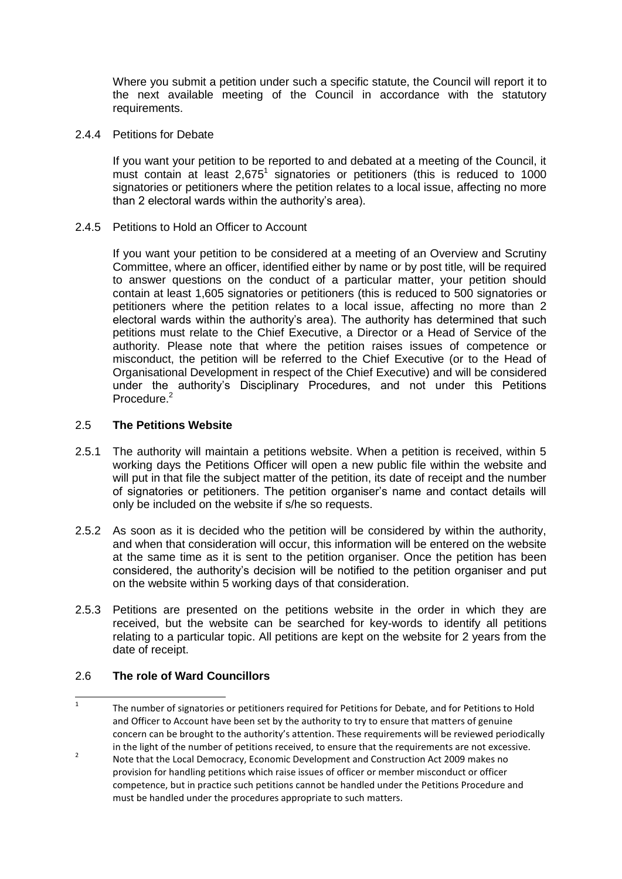Where you submit a petition under such a specific statute, the Council will report it to the next available meeting of the Council in accordance with the statutory requirements.

2.4.4 Petitions for Debate

If you want your petition to be reported to and debated at a meeting of the Council, it must contain at least  $2,675^1$  signatories or petitioners (this is reduced to 1000 signatories or petitioners where the petition relates to a local issue, affecting no more than 2 electoral wards within the authority's area).

2.4.5 Petitions to Hold an Officer to Account

If you want your petition to be considered at a meeting of an Overview and Scrutiny Committee, where an officer, identified either by name or by post title, will be required to answer questions on the conduct of a particular matter, your petition should contain at least 1,605 signatories or petitioners (this is reduced to 500 signatories or petitioners where the petition relates to a local issue, affecting no more than 2 electoral wards within the authority's area). The authority has determined that such petitions must relate to the Chief Executive, a Director or a Head of Service of the authority. Please note that where the petition raises issues of competence or misconduct, the petition will be referred to the Chief Executive (or to the Head of Organisational Development in respect of the Chief Executive) and will be considered under the authority's Disciplinary Procedures, and not under this Petitions Procedure.<sup>2</sup>

## 2.5 **The Petitions Website**

- 2.5.1 The authority will maintain a petitions website. When a petition is received, within 5 working days the Petitions Officer will open a new public file within the website and will put in that file the subject matter of the petition, its date of receipt and the number of signatories or petitioners. The petition organiser's name and contact details will only be included on the website if s/he so requests.
- 2.5.2 As soon as it is decided who the petition will be considered by within the authority, and when that consideration will occur, this information will be entered on the website at the same time as it is sent to the petition organiser. Once the petition has been considered, the authority's decision will be notified to the petition organiser and put on the website within 5 working days of that consideration.
- 2.5.3 Petitions are presented on the petitions website in the order in which they are received, but the website can be searched for key-words to identify all petitions relating to a particular topic. All petitions are kept on the website for 2 years from the date of receipt.

# 2.6 **The role of Ward Councillors**

 $\frac{1}{1}$ The number of signatories or petitioners required for Petitions for Debate, and for Petitions to Hold and Officer to Account have been set by the authority to try to ensure that matters of genuine concern can be brought to the authority's attention. These requirements will be reviewed periodically in the light of the number of petitions received, to ensure that the requirements are not excessive.

<sup>2</sup> Note that the Local Democracy, Economic Development and Construction Act 2009 makes no provision for handling petitions which raise issues of officer or member misconduct or officer competence, but in practice such petitions cannot be handled under the Petitions Procedure and must be handled under the procedures appropriate to such matters.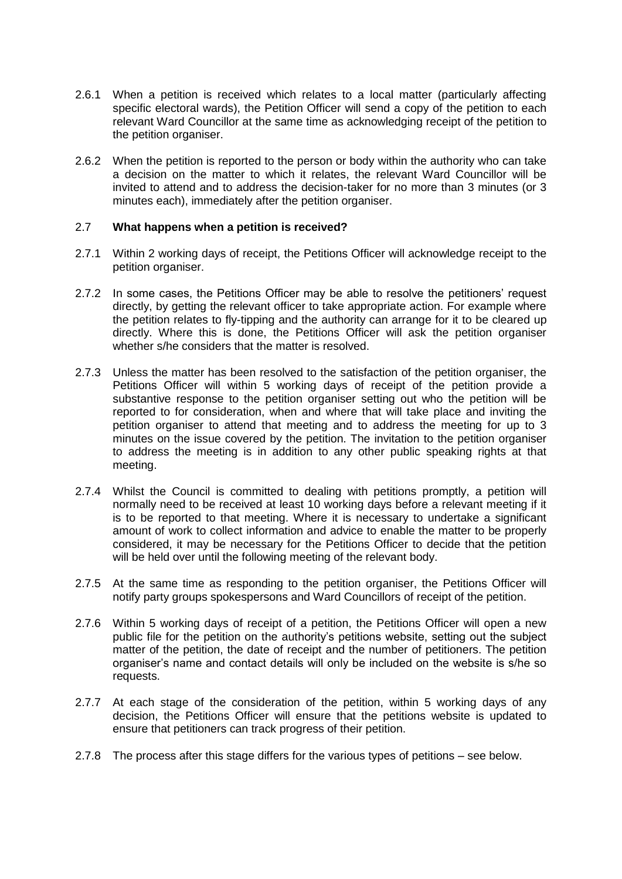- 2.6.1 When a petition is received which relates to a local matter (particularly affecting specific electoral wards), the Petition Officer will send a copy of the petition to each relevant Ward Councillor at the same time as acknowledging receipt of the petition to the petition organiser.
- 2.6.2 When the petition is reported to the person or body within the authority who can take a decision on the matter to which it relates, the relevant Ward Councillor will be invited to attend and to address the decision-taker for no more than 3 minutes (or 3 minutes each), immediately after the petition organiser.

## 2.7 **What happens when a petition is received?**

- 2.7.1 Within 2 working days of receipt, the Petitions Officer will acknowledge receipt to the petition organiser.
- 2.7.2 In some cases, the Petitions Officer may be able to resolve the petitioners' request directly, by getting the relevant officer to take appropriate action. For example where the petition relates to fly-tipping and the authority can arrange for it to be cleared up directly. Where this is done, the Petitions Officer will ask the petition organiser whether s/he considers that the matter is resolved.
- 2.7.3 Unless the matter has been resolved to the satisfaction of the petition organiser, the Petitions Officer will within 5 working days of receipt of the petition provide a substantive response to the petition organiser setting out who the petition will be reported to for consideration, when and where that will take place and inviting the petition organiser to attend that meeting and to address the meeting for up to 3 minutes on the issue covered by the petition. The invitation to the petition organiser to address the meeting is in addition to any other public speaking rights at that meeting.
- 2.7.4 Whilst the Council is committed to dealing with petitions promptly, a petition will normally need to be received at least 10 working days before a relevant meeting if it is to be reported to that meeting. Where it is necessary to undertake a significant amount of work to collect information and advice to enable the matter to be properly considered, it may be necessary for the Petitions Officer to decide that the petition will be held over until the following meeting of the relevant body.
- 2.7.5 At the same time as responding to the petition organiser, the Petitions Officer will notify party groups spokespersons and Ward Councillors of receipt of the petition.
- 2.7.6 Within 5 working days of receipt of a petition, the Petitions Officer will open a new public file for the petition on the authority's petitions website, setting out the subject matter of the petition, the date of receipt and the number of petitioners. The petition organiser's name and contact details will only be included on the website is s/he so requests.
- 2.7.7 At each stage of the consideration of the petition, within 5 working days of any decision, the Petitions Officer will ensure that the petitions website is updated to ensure that petitioners can track progress of their petition.
- 2.7.8 The process after this stage differs for the various types of petitions see below.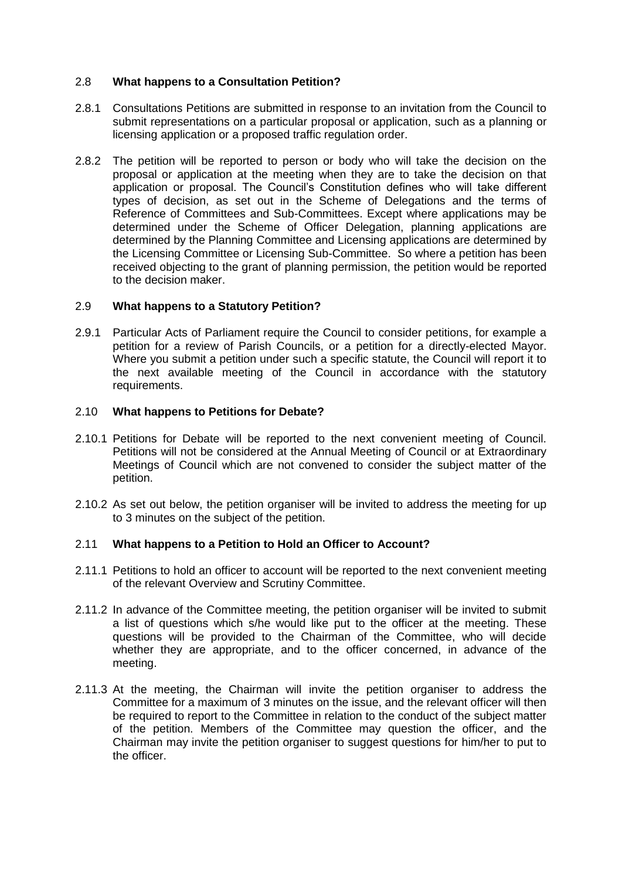# 2.8 **What happens to a Consultation Petition?**

- 2.8.1 Consultations Petitions are submitted in response to an invitation from the Council to submit representations on a particular proposal or application, such as a planning or licensing application or a proposed traffic regulation order.
- 2.8.2 The petition will be reported to person or body who will take the decision on the proposal or application at the meeting when they are to take the decision on that application or proposal. The Council's Constitution defines who will take different types of decision, as set out in the Scheme of Delegations and the terms of Reference of Committees and Sub-Committees. Except where applications may be determined under the Scheme of Officer Delegation, planning applications are determined by the Planning Committee and Licensing applications are determined by the Licensing Committee or Licensing Sub-Committee. So where a petition has been received objecting to the grant of planning permission, the petition would be reported to the decision maker.

## 2.9 **What happens to a Statutory Petition?**

2.9.1 Particular Acts of Parliament require the Council to consider petitions, for example a petition for a review of Parish Councils, or a petition for a directly-elected Mayor. Where you submit a petition under such a specific statute, the Council will report it to the next available meeting of the Council in accordance with the statutory requirements.

#### 2.10 **What happens to Petitions for Debate?**

- 2.10.1 Petitions for Debate will be reported to the next convenient meeting of Council. Petitions will not be considered at the Annual Meeting of Council or at Extraordinary Meetings of Council which are not convened to consider the subject matter of the petition.
- 2.10.2 As set out below, the petition organiser will be invited to address the meeting for up to 3 minutes on the subject of the petition.

# 2.11 **What happens to a Petition to Hold an Officer to Account?**

- 2.11.1 Petitions to hold an officer to account will be reported to the next convenient meeting of the relevant Overview and Scrutiny Committee.
- 2.11.2 In advance of the Committee meeting, the petition organiser will be invited to submit a list of questions which s/he would like put to the officer at the meeting. These questions will be provided to the Chairman of the Committee, who will decide whether they are appropriate, and to the officer concerned, in advance of the meeting.
- 2.11.3 At the meeting, the Chairman will invite the petition organiser to address the Committee for a maximum of 3 minutes on the issue, and the relevant officer will then be required to report to the Committee in relation to the conduct of the subject matter of the petition. Members of the Committee may question the officer, and the Chairman may invite the petition organiser to suggest questions for him/her to put to the officer.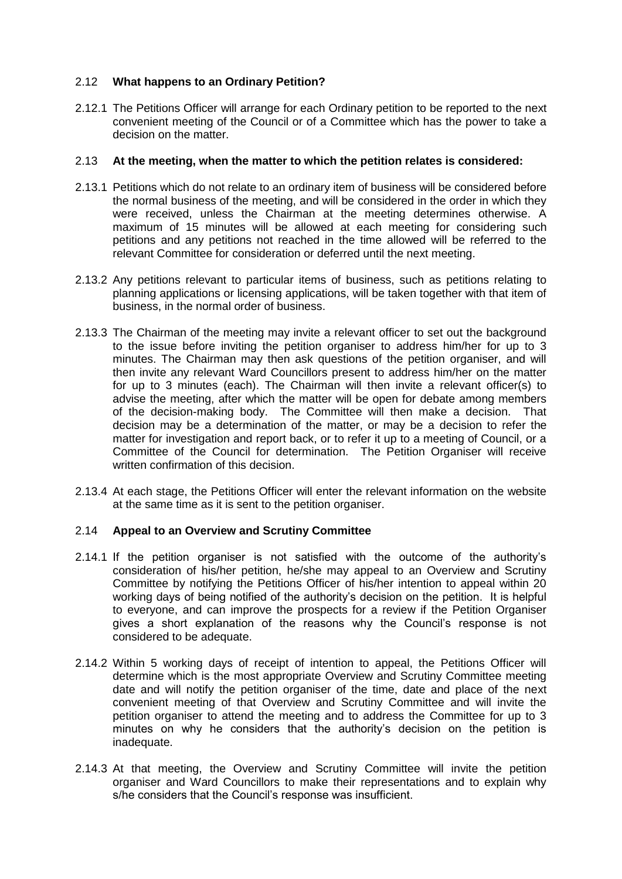# 2.12 **What happens to an Ordinary Petition?**

2.12.1 The Petitions Officer will arrange for each Ordinary petition to be reported to the next convenient meeting of the Council or of a Committee which has the power to take a decision on the matter.

#### 2.13 **At the meeting, when the matter to which the petition relates is considered:**

- 2.13.1 Petitions which do not relate to an ordinary item of business will be considered before the normal business of the meeting, and will be considered in the order in which they were received, unless the Chairman at the meeting determines otherwise. A maximum of 15 minutes will be allowed at each meeting for considering such petitions and any petitions not reached in the time allowed will be referred to the relevant Committee for consideration or deferred until the next meeting.
- 2.13.2 Any petitions relevant to particular items of business, such as petitions relating to planning applications or licensing applications, will be taken together with that item of business, in the normal order of business.
- 2.13.3 The Chairman of the meeting may invite a relevant officer to set out the background to the issue before inviting the petition organiser to address him/her for up to 3 minutes. The Chairman may then ask questions of the petition organiser, and will then invite any relevant Ward Councillors present to address him/her on the matter for up to 3 minutes (each). The Chairman will then invite a relevant officer(s) to advise the meeting, after which the matter will be open for debate among members of the decision-making body. The Committee will then make a decision. That decision may be a determination of the matter, or may be a decision to refer the matter for investigation and report back, or to refer it up to a meeting of Council, or a Committee of the Council for determination. The Petition Organiser will receive written confirmation of this decision.
- 2.13.4 At each stage, the Petitions Officer will enter the relevant information on the website at the same time as it is sent to the petition organiser.

# 2.14 **Appeal to an Overview and Scrutiny Committee**

- 2.14.1 If the petition organiser is not satisfied with the outcome of the authority's consideration of his/her petition, he/she may appeal to an Overview and Scrutiny Committee by notifying the Petitions Officer of his/her intention to appeal within 20 working days of being notified of the authority's decision on the petition. It is helpful to everyone, and can improve the prospects for a review if the Petition Organiser gives a short explanation of the reasons why the Council's response is not considered to be adequate.
- 2.14.2 Within 5 working days of receipt of intention to appeal, the Petitions Officer will determine which is the most appropriate Overview and Scrutiny Committee meeting date and will notify the petition organiser of the time, date and place of the next convenient meeting of that Overview and Scrutiny Committee and will invite the petition organiser to attend the meeting and to address the Committee for up to 3 minutes on why he considers that the authority's decision on the petition is inadequate.
- 2.14.3 At that meeting, the Overview and Scrutiny Committee will invite the petition organiser and Ward Councillors to make their representations and to explain why s/he considers that the Council's response was insufficient.